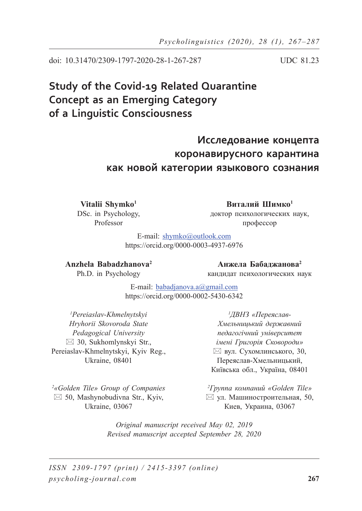doi: 10.31470/2309-1797-2020-28-1-267-287 UDC 81.23

# **Study of the Covid-19 Related Quarantine Concept as an Emerging Category of a Linguistic Consciousness**

# **Исследование концепта коронавирусного карантина как новой категории языкового сознания**

Vitalii Shymko<sup>1</sup> DSc. in Psychology, Professor

**Виталий Шимко<sup>1</sup>** доктор психологических наук, профессор

E-mail: shymko@outlook.com https://orcid.org/0000-0003-4937-6976

### **Anzhela Babadzhanova2**

**Анжела Бабаджанова<sup>2</sup>**

Ph.D. in Psychology

кандидат психологических наук

E-mail: babadjanova.a@gmail.com https://orcid.org/0000-0002-5430-6342

*1 Pereiaslav-Khmelnytskyi Hryhorii Skovoroda State Pedagogical University*  $\boxtimes$  30, Sukhomlynskyi Str., Pereiaslav-Khmelnytskyi, Kyiv Reg., Ukraine, 08401

*1 ДВНЗ «Переяслав-Хмельницький державний педагогічний університет імені Григорія Сковороди»* вул. Сухомлинського, 30, Переяслав-Хмельницький, Київська обл., Україна, 08401

*2 «Golden Tile» Group of Companies*  $\boxtimes$  50, Mashynobudivna Str., Kyiv, Ukraine, 03067

*2 Группа компаний «Golden Tile»*  $\boxtimes$  ул. Машиностроительная, 50, Киев, Украина, 03067

*Original manuscript received May 02, 2019 Revised manuscript accepted September 28, 2020*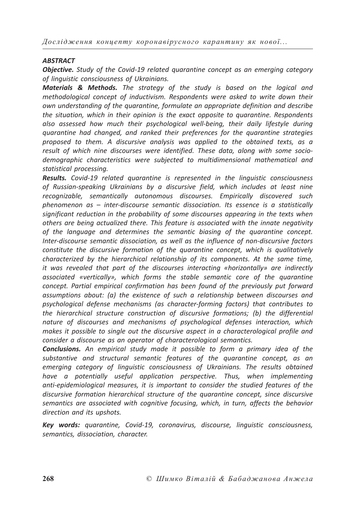#### *ABSTRACT*

*Objective. Study of the Covid-19 related quarantine concept as an emerging category of linguistic consciousness of Ukrainians.*

*Materials & Methods. The strategy of the study is based on the logical and methodological concept of inductivism. Respondents were asked to write down their own understanding of the quarantine, formulate an appropriate definition and describe the situation, which in their opinion is the exact opposite to quarantine. Respondents also assessed how much their psychological well-being, their daily lifestyle during quarantine had changed, and ranked their preferences for the quarantine strategies proposed to them. A discursive analysis was applied to the obtained texts, as a result of which nine discourses were identified. These data, along with some sociodemographic characteristics were subjected to multidimensional mathematical and statistical processing.*

*Results. Covid-19 related quarantine is represented in the linguistic consciousness of Russian-speaking Ukrainians by a discursive field, which includes at least nine recognizable, semantically autonomous discourses. Empirically discovered such phenomenon as – inter-discourse semantic dissociation. Its essence is a statistically significant reduction in the probability of some discourses appearing in the texts when others are being actualized there. This feature is associated with the innate negativity of the language and determines the semantic biasing of the quarantine concept. Inter-discourse semantic dissociation, as well as the influence of non-discursive factors constitute the discursive formation of the quarantine concept, which is qualitatively characterized by the hierarchical relationship of its components. At the same time, it was revealed that part of the discourses interacting «horizontally» are indirectly associated «vertically», which forms the stable semantic core of the quarantine concept. Partial empirical confirmation has been found of the previously put forward assumptions about: (a) the existence of such a relationship between discourses and psychological defense mechanisms (as character-forming factors) that contributes to the hierarchical structure construction of discursive formations; (b) the differential nature of discourses and mechanisms of psychological defenses interaction, which makes it possible to single out the discursive aspect in a characterological profile and consider a discourse as an operator of characterological semantics.*

*Conclusions. An empirical study made it possible to form a primary idea of the substantive and structural semantic features of the quarantine concept, as an emerging category of linguistic consciousness of Ukrainians. The results obtained have a potentially useful application perspective. Thus, when implementing anti-epidemiological measures, it is important to consider the studied features of the discursive formation hierarchical structure of the quarantine concept, since discursive semantics are associated with cognitive focusing, which, in turn, affects the behavior direction and its upshots.*

*Key words: quarantine, Covid-19, coronavirus, discourse, linguistic consciousness, semantics, dissociation, character.*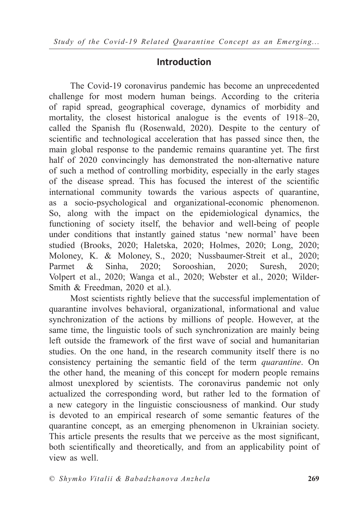## **Introduction**

The Covid-19 coronavirus pandemic has become an unprecedented challenge for most modern human beings. According to the criteria of rapid spread, geographical coverage, dynamics of morbidity and mortality, the closest historical analogue is the events of 1918–20, called the Spanish flu (Rosenwald, 2020). Despite to the century of scientific and technological acceleration that has passed since then, the main global response to the pandemic remains quarantine yet. The first half of 2020 convincingly has demonstrated the non-alternative nature of such a method of controlling morbidity, especially in the early stages of the disease spread. This has focused the interest of the scientific international community towards the various aspects of quarantine, as a socio-psychological and organizational-economic phenomenon. So, along with the impact on the epidemiological dynamics, the functioning of society itself, the behavior and well-being of people under conditions that instantly gained status 'new normal' have been studied (Brooks, 2020; Haletska, 2020; Holmes, 2020; Long, 2020; Moloney, K. & Moloney, S., 2020; Nussbaumer-Streit et al., 2020; Parmet & Sinha, 2020; Sorooshian, 2020; Suresh, 2020; Volpert et al., 2020; Wanga et al., 2020; Webster et al., 2020; Wilder-Smith & Freedman, 2020 et al.).

Most scientists rightly believe that the successful implementation of quarantine involves behavioral, organizational, informational and value synchronization of the actions by millions of people. However, at the same time, the linguistic tools of such synchronization are mainly being left outside the framework of the first wave of social and humanitarian studies. On the one hand, in the research community itself there is no consistency pertaining the semantic field of the term *quarantine*. On the other hand, the meaning of this concept for modern people remains almost unexplored by scientists. The coronavirus pandemic not only actualized the corresponding word, but rather led to the formation of a new category in the linguistic consciousness of mankind. Our study is devoted to an empirical research of some semantic features of the quarantine concept, as an emerging phenomenon in Ukrainian society. This article presents the results that we perceive as the most significant, both scientifically and theoretically, and from an applicability point of view as well.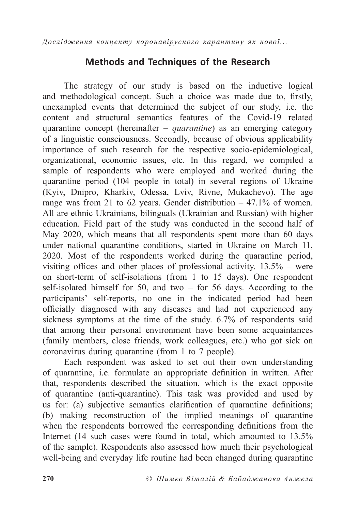## **Methods and Techniques of the Research**

The strategy of our study is based on the inductive logical and methodological concept. Such a choice was made due to, firstly, unexampled events that determined the subject of our study, i.e. the content and structural semantics features of the Covid-19 related quarantine concept (hereinafter – *quarantine*) as an emerging category of a linguistic consciousness. Secondly, because of obvious applicability importance of such research for the respective socio-epidemiological, organizational, economic issues, etc. In this regard, we compiled a sample of respondents who were employed and worked during the quarantine period (104 people in total) in several regions of Ukraine (Kyiv, Dnipro, Kharkiv, Odessa, Lviv, Rivne, Mukachevo). The age range was from 21 to 62 years. Gender distribution  $-47.1\%$  of women. All are ethnic Ukrainians, bilinguals (Ukrainian and Russian) with higher education. Field part of the study was conducted in the second half of May 2020, which means that all respondents spent more than 60 days under national quarantine conditions, started in Ukraine on March 11, 2020. Most of the respondents worked during the quarantine period, visiting offices and other places of professional activity.  $13.5%$  – were on short-term of self-isolations (from 1 to 15 days). One respondent self-isolated himself for 50, and two – for 56 days. According to the participants' self-reports, no one in the indicated period had been officially diagnosed with any diseases and had not experienced any sickness symptoms at the time of the study. 6.7% of respondents said that among their personal environment have been some acquaintances (family members, close friends, work colleagues, etc.) who got sick on coronavirus during quarantine (from 1 to 7 people).

Each respondent was asked to set out their own understanding of quarantine, i.e. formulate an appropriate definition in written. After that, respondents described the situation, which is the exact opposite of quarantine (anti-quarantine). This task was provided and used by us for: (a) subjective semantics clarification of quarantine definitions; (b) making reconstruction of the implied meanings of quarantine when the respondents borrowed the corresponding definitions from the Internet (14 such cases were found in total, which amounted to 13.5% of the sample). Respondents also assessed how much their psychological well-being and everyday life routine had been changed during quarantine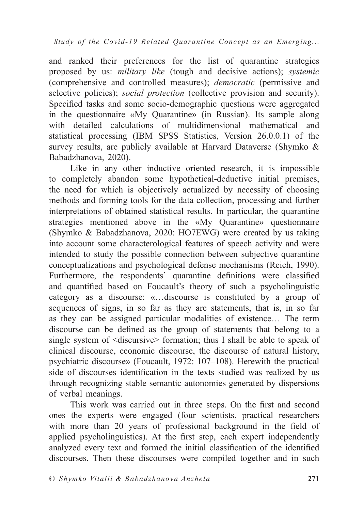and ranked their preferences for the list of quarantine strategies proposed by us: *military like* (tough and decisive actions); *systemic* (comprehensive and controlled measures); *democratic* (permissive and selective policies); *social protection* (collective provision and security). Specified tasks and some socio-demographic questions were aggregated in the questionnaire «My Quarantine» (in Russian). Its sample along with detailed calculations of multidimensional mathematical and statistical processing (IBM SPSS Statistics, Version 26.0.0.1) of the survey results, are publicly available at Harvard Dataverse (Shymko & Babadzhanova, 2020).

Like in any other inductive oriented research, it is impossible to completely abandon some hypothetical-deductive initial premises, the need for which is objectively actualized by necessity of choosing methods and forming tools for the data collection, processing and further interpretations of obtained statistical results. In particular, the quarantine strategies mentioned above in the «My Quarantine» questionnaire (Shymko & Babadzhanova, 2020: HO7EWG) were created by us taking into account some characterological features of speech activity and were intended to study the possible connection between subjective quarantine conceptualizations and psychological defense mechanisms (Reich, 1990). Furthermore, the respondents' quarantine definitions were classified and quantified based on Foucault's theory of such a psycholinguistic category as a discourse: «…discourse is constituted by a group of sequences of signs, in so far as they are statements, that is, in so far as they can be assigned particular modalities of existence… The term discourse can be defined as the group of statements that belong to a single system of <discursive> formation; thus I shall be able to speak of clinical discourse, economic discourse, the discourse of natural history, psychiatric discourse» (Foucault, 1972: 107–108). Herewith the practical side of discourses identification in the texts studied was realized by us through recognizing stable semantic autonomies generated by dispersions of verbal meanings.

This work was carried out in three steps. On the first and second ones the experts were engaged (four scientists, practical researchers with more than 20 years of professional background in the field of applied psycholinguistics). At the first step, each expert independently analyzed every text and formed the initial classification of the identified discourses. Then these discourses were compiled together and in such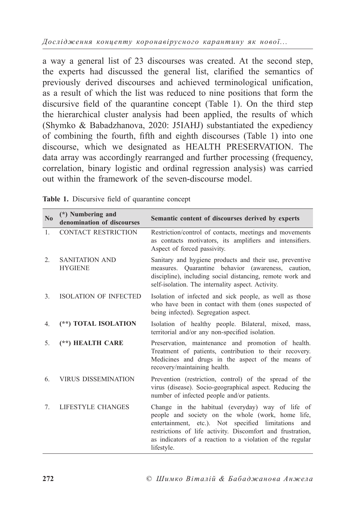a way a general list of 23 discourses was created. At the second step, the experts had discussed the general list, clarified the semantics of previously derived discourses and achieved terminological unification, as a result of which the list was reduced to nine positions that form the discursive field of the quarantine concept (Table 1). On the third step the hierarchical cluster analysis had been applied, the results of which (Shymko & Babadzhanova, 2020: J5IAHJ) substantiated the expediency of combining the fourth, fifth and eighth discourses (Table 1) into one discourse, which we designated as HEALTH PRESERVATION. The data array was accordingly rearranged and further processing (frequency, correlation, binary logistic and ordinal regression analysis) was carried out within the framework of the seven-discourse model.

| $\mathbf{N}$ <sub>0</sub> | (*) Numbering and<br>denomination of discourses | Semantic content of discourses derived by experts                                                                                                                                                                                                                                                        |
|---------------------------|-------------------------------------------------|----------------------------------------------------------------------------------------------------------------------------------------------------------------------------------------------------------------------------------------------------------------------------------------------------------|
| 1.                        | <b>CONTACT RESTRICTION</b>                      | Restriction/control of contacts, meetings and movements<br>as contacts motivators, its amplifiers and intensifiers.<br>Aspect of forced passivity.                                                                                                                                                       |
| $\overline{2}$ .          | <b>SANITATION AND</b><br><b>HYGIENE</b>         | Sanitary and hygiene products and their use, preventive<br>measures. Quarantine behavior (awareness, caution,<br>discipline), including social distancing, remote work and<br>self-isolation. The internality aspect. Activity.                                                                          |
| $\mathbf{3}$ .            | <b>ISOLATION OF INFECTED</b>                    | Isolation of infected and sick people, as well as those<br>who have been in contact with them (ones suspected of<br>being infected). Segregation aspect.                                                                                                                                                 |
| 4.                        | (**) TOTAL ISOLATION                            | Isolation of healthy people. Bilateral, mixed, mass,<br>territorial and/or any non-specified isolation.                                                                                                                                                                                                  |
| 5.                        | (**) HEALTH CARE                                | Preservation, maintenance and promotion of health.<br>Treatment of patients, contribution to their recovery.<br>Medicines and drugs in the aspect of the means of<br>recovery/maintaining health.                                                                                                        |
| 6.                        | <b>VIRUS DISSEMINATION</b>                      | Prevention (restriction, control) of the spread of the<br>virus (disease). Socio-geographical aspect. Reducing the<br>number of infected people and/or patients.                                                                                                                                         |
| $7_{\cdot}$               | LIFESTYLE CHANGES                               | Change in the habitual (everyday) way of life of<br>people and society on the whole (work, home life,<br>entertainment, etc.). Not specified limitations<br>and<br>restrictions of life activity. Discomfort and frustration,<br>as indicators of a reaction to a violation of the regular<br>lifestyle. |

| Table 1. Discursive field of quarantine concept |  |
|-------------------------------------------------|--|
|-------------------------------------------------|--|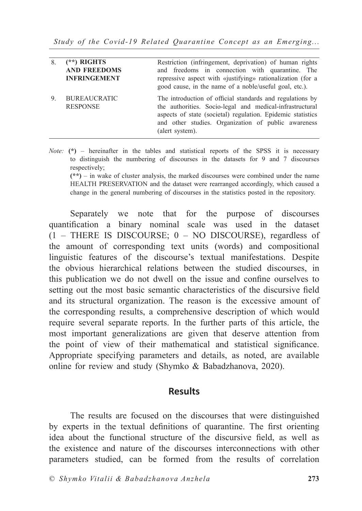*Study of the Covid-19 Related Quarantine Concept as an Emerging...*

| 8. | $(**)$ RIGHTS<br><b>AND FREEDOMS</b><br><b>INFRINGEMENT</b> | Restriction (infringement, deprivation) of human rights<br>and freedoms in connection with quarantine. The<br>repressive aspect with «justifying» rationalization (for a<br>good cause, in the name of a noble/useful goal, etc.).                             |
|----|-------------------------------------------------------------|----------------------------------------------------------------------------------------------------------------------------------------------------------------------------------------------------------------------------------------------------------------|
| 9. | <b>BUREAUCRATIC</b><br><b>RESPONSE</b>                      | The introduction of official standards and regulations by<br>the authorities. Socio-legal and medical-infrastructural<br>aspects of state (societal) regulation. Epidemic statistics<br>and other studies. Organization of public awareness<br>(alert system). |

*Note:*  $(*)$  – hereinafter in the tables and statistical reports of the SPSS it is necessary to distinguish the numbering of discourses in the datasets for 9 and 7 discourses respectively;

**(\*\*)** – in wake of cluster analysis, the marked discourses were combined under the name HEALTH PRESERVATION and the dataset were rearranged accordingly, which caused a change in the general numbering of discourses in the statistics posted in the repository.

Separately we note that for the purpose of discourses quantification a binary nominal scale was used in the dataset (1 – THERE IS DISCOURSE; 0 – NO DISCOURSE), regardless of the amount of corresponding text units (words) and compositional linguistic features of the discourse's textual manifestations. Despite the obvious hierarchical relations between the studied discourses, in this publication we do not dwell on the issue and confine ourselves to setting out the most basic semantic characteristics of the discursive field and its structural organization. The reason is the excessive amount of the corresponding results, a comprehensive description of which would require several separate reports. In the further parts of this article, the most important generalizations are given that deserve attention from the point of view of their mathematical and statistical significance. Appropriate specifying parameters and details, as noted, are available online for review and study (Shymko & Babadzhanova, 2020).

### **Results**

The results are focused on the discourses that were distinguished by experts in the textual definitions of quarantine. The first orienting idea about the functional structure of the discursive field, as well as the existence and nature of the discourses interconnections with other parameters studied, can be formed from the results of correlation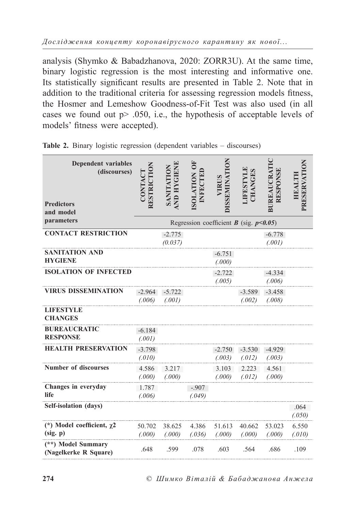analysis (Shymko & Babadzhanova, 2020: ZORR3U). At the same time, binary logistic regression is the most interesting and informative one. Its statistically significant results are presented in Table 2. Note that in addition to the traditional criteria for assessing regression models fitness, the Hosmer and Lemeshow Goodness-of-Fit Test was also used (in all cases we found out p> .050, i.e., the hypothesis of acceptable levels of models' fitness were accepted).

| <b>Dependent variables</b><br>(discourses)  | RESTRICTION<br>CONTACT | <b>AND HYGIENE</b><br>SANITATION | OF<br>INFECTEL<br><b>NOITATION</b> | <b>DISSEMINATION</b><br>VIRUS                      | <b>JIFESTYLE</b><br><b>CHANGES</b> | BUREAUCRATI<br>RESPONSE | PRESERVATION<br>HEALTH |
|---------------------------------------------|------------------------|----------------------------------|------------------------------------|----------------------------------------------------|------------------------------------|-------------------------|------------------------|
| <b>Predictors</b><br>and model              |                        |                                  |                                    |                                                    |                                    |                         |                        |
| parameters                                  |                        |                                  |                                    | Regression coefficient <b>B</b> (sig. $p < 0.05$ ) |                                    |                         |                        |
| <b>CONTACT RESTRICTION</b>                  |                        | $-2.775$<br>(0.037)              |                                    |                                                    |                                    | $-6.778$<br>(.001)      |                        |
| SANITATION AND<br><b>HYGIENE</b>            |                        |                                  |                                    | $-6.751$<br>(.000)                                 |                                    |                         |                        |
| <b>ISOLATION OF INFECTED</b>                |                        |                                  |                                    | $-2.722$<br>(.005)                                 |                                    | $-4.334$<br>(.006)      |                        |
| <b>VIRUS DISSEMINATION</b>                  | $-2.964$<br>(.006)     | $-5.722$<br>(.001)               |                                    |                                                    | $-3.589$<br>(.002)                 | $-3.458$<br>(.008)      |                        |
| <b>LIFESTYLE</b><br><b>CHANGES</b>          |                        |                                  |                                    |                                                    |                                    |                         |                        |
| <b>BUREAUCRATIC</b><br><b>RESPONSE</b>      | $-6.184$<br>(.001)     |                                  |                                    |                                                    |                                    |                         |                        |
| <b>HEALTH PRESERVATION</b>                  | $-3.798$<br>(.010)     |                                  |                                    | $-2.750$<br>(.003)                                 | $-3.530$<br>(.012)                 | $-4.929$<br>(.003)      |                        |
| <b>Number of discourses</b>                 | 4.586<br>(.000)        | 3.217<br>(.000)                  |                                    | 3.103<br>(.000)                                    | 2.223<br>(.012)                    | 4.561<br>(.000)         |                        |
| Changes in everyday<br>life                 | 1.787<br>(.006)        |                                  | $-.907$<br>(.049)                  |                                                    |                                    |                         |                        |
| Self-isolation (days)                       |                        |                                  |                                    |                                                    |                                    |                         | .064<br>(.050)         |
| (*) Model coefficient, $\chi$ 2<br>(sig. p) | 50.702<br>(.000)       | 38.625<br>(.000)                 | 4.386<br>(.036)                    | 51.613<br>(.000)                                   | 40.662<br>(.000)                   | 53.023<br>(.000)        | 6.550<br>(.010)        |
| (**) Model Summary<br>(Nagelkerke R Square) | .648                   | .599                             | .078                               | .603                                               | .564                               | .686                    | .109                   |

**Table 2.** Binary logistic regression (dependent variables – discourses)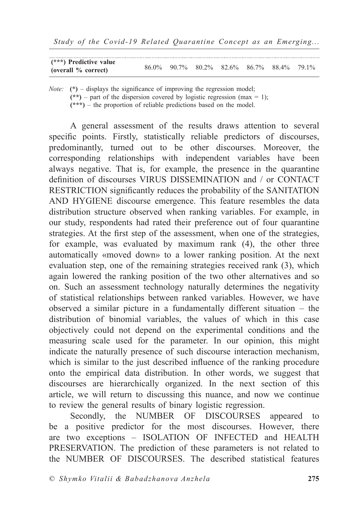| $(***)$ Predictive value<br>(overall % correct) | 86.0\% 90.7\% 80.2\% 82.6\% 86.7\% 88.4\% 79.1\% |  |  |  |
|-------------------------------------------------|--------------------------------------------------|--|--|--|

*Note:*  $(*)$  – displays the significance of improving the regression model;

 $(**)$  – part of the dispersion covered by logistic regression (max = 1);

**(\*\*\*)** – the proportion of reliable predictions based on the model.

A general assessment of the results draws attention to several specific points. Firstly, statistically reliable predictors of discourses, predominantly, turned out to be other discourses. Moreover, the corresponding relationships with independent variables have been always negative. That is, for example, the presence in the quarantine definition of discourses VIRUS DISSEMINATION and / or CONTACT RESTRICTION significantly reduces the probability of the SANITATION AND HYGIENE discourse emergence. This feature resembles the data distribution structure observed when ranking variables. For example, in our study, respondents had rated their preference out of four quarantine strategies. At the first step of the assessment, when one of the strategies, for example, was evaluated by maximum rank (4), the other three automatically «moved down» to a lower ranking position. At the next evaluation step, one of the remaining strategies received rank (3), which again lowered the ranking position of the two other alternatives and so on. Such an assessment technology naturally determines the negativity of statistical relationships between ranked variables. However, we have observed a similar picture in a fundamentally different situation – the distribution of binomial variables, the values of which in this case objectively could not depend on the experimental conditions and the measuring scale used for the parameter. In our opinion, this might indicate the naturally presence of such discourse interaction mechanism, which is similar to the just described influence of the ranking procedure onto the empirical data distribution. In other words, we suggest that discourses are hierarchically organized. In the next section of this article, we will return to discussing this nuance, and now we continue to review the general results of binary logistic regression.

Secondly, the NUMBER OF DISCOURSES appeared to be a positive predictor for the most discourses. However, there are two exceptions – ISOLATION OF INFECTED and HEALTH PRESERVATION. The prediction of these parameters is not related to the NUMBER OF DISCOURSES. The described statistical features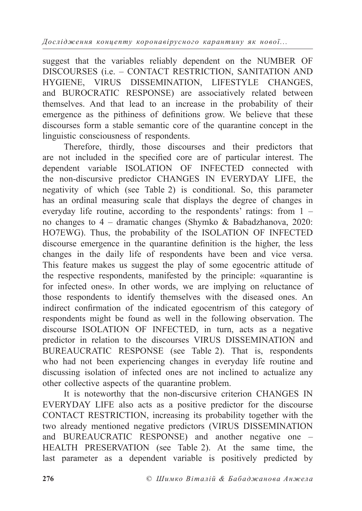suggest that the variables reliably dependent on the NUMBER OF DISCOURSES (i.e. – CONTACT RESTRICTION, SANITATION AND HYGIENE, VIRUS DISSEMINATION, LIFESTYLE CHANGES, and BUROCRATIC RESPONSE) are associatively related between themselves. And that lead to an increase in the probability of their emergence as the pithiness of definitions grow. We believe that these discourses form a stable semantic core of the quarantine concept in the linguistic consciousness of respondents.

Therefore, thirdly, those discourses and their predictors that are not included in the specified core are of particular interest. The dependent variable ISOLATION OF INFECTED connected with the non-discursive predictor CHANGES IN EVERYDAY LIFE, the negativity of which (see Table 2) is conditional. So, this parameter has an ordinal measuring scale that displays the degree of changes in everyday life routine, according to the respondents' ratings: from 1 – no changes to 4 – dramatic changes (Shymko & Babadzhanova, 2020: HO7EWG). Thus, the probability of the ISOLATION OF INFECTED discourse emergence in the quarantine definition is the higher, the less changes in the daily life of respondents have been and vice versa. This feature makes us suggest the play of some egocentric attitude of the respective respondents, manifested by the principle: «quarantine is for infected ones». In other words, we are implying on reluctance of those respondents to identify themselves with the diseased ones. An indirect confirmation of the indicated egocentrism of this category of respondents might be found as well in the following observation. The discourse ISOLATION OF INFECTED, in turn, acts as a negative predictor in relation to the discourses VIRUS DISSEMINATION and BUREAUCRATIC RESPONSE (see Table 2). That is, respondents who had not been experiencing changes in everyday life routine and discussing isolation of infected ones are not inclined to actualize any other collective aspects of the quarantine problem.

It is noteworthy that the non-discursive criterion CHANGES IN EVERYDAY LIFE also acts as a positive predictor for the discourse CONTACT RESTRICTION, increasing its probability together with the two already mentioned negative predictors (VIRUS DISSEMINATION and BUREAUCRATIC RESPONSE) and another negative one – HEALTH PRESERVATION (see Table 2). At the same time, the last parameter as a dependent variable is positively predicted by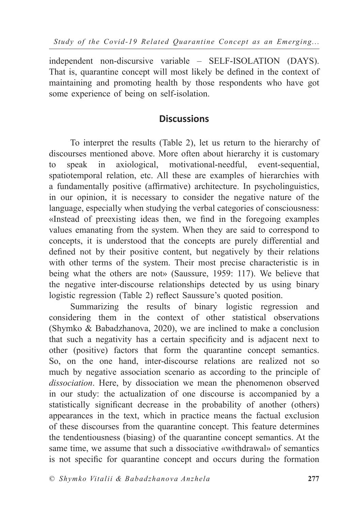independent non-discursive variable – SELF-ISOLATION (DAYS). That is, quarantine concept will most likely be defined in the context of maintaining and promoting health by those respondents who have got some experience of being on self-isolation.

### **Discussions**

To interpret the results (Table 2), let us return to the hierarchy of discourses mentioned above. More often about hierarchy it is customary to speak in axiological, motivational-needful, event-sequential, spatiotemporal relation, etc. All these are examples of hierarchies with a fundamentally positive (affirmative) architecture. In psycholinguistics, in our opinion, it is necessary to consider the negative nature of the language, especially when studying the verbal categories of consciousness: «Instead of preexisting ideas then, we find in the foregoing examples values emanating from the system. When they are said to correspond to concepts, it is understood that the concepts are purely differential and defined not by their positive content, but negatively by their relations with other terms of the system. Their most precise characteristic is in being what the others are not» (Saussure, 1959: 117). We believe that the negative inter-discourse relationships detected by us using binary logistic regression (Table 2) reflect Saussure's quoted position.

Summarizing the results of binary logistic regression and considering them in the context of other statistical observations (Shymko & Babadzhanova, 2020), we are inclined to make a conclusion that such a negativity has a certain specificity and is adjacent next to other (positive) factors that form the quarantine concept semantics. So, on the one hand, inter-discourse relations are realized not so much by negative association scenario as according to the principle of *dissociation*. Here, by dissociation we mean the phenomenon observed in our study: the actualization of one discourse is accompanied by a statistically significant decrease in the probability of another (others) appearances in the text, which in practice means the factual exclusion of these discourses from the quarantine concept. This feature determines the tendentiousness (biasing) of the quarantine concept semantics. At the same time, we assume that such a dissociative «withdrawal» of semantics is not specific for quarantine concept and occurs during the formation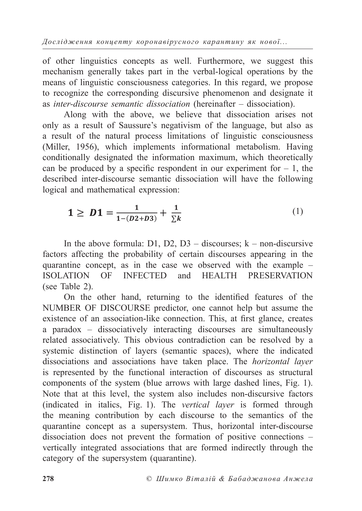*Дослідження концепту коронавірусного карантину як нової...*

of other linguistics concepts as well. Furthermore, we suggest this mechanism generally takes part in the verbal-logical operations by the means of linguistic consciousness categories. In this regard, we propose to recognize the corresponding discursive phenomenon and designate it as *inter-discourse semantic dissociation* (hereinafter – dissociation).

Along with the above, we believe that dissociation arises not only as a result of Saussure's negativism of the language, but also as a result of the natural process limitations of linguistic consciousness (Miller, 1956), which implements informational metabolism. Having conditionally designated the information maximum, which theoretically can be produced by a specific respondent in our experiment for  $-1$ , the described inter-discourse semantic dissociation will have the following logical and mathematical expression:

$$
1 \ge D1 = \frac{1}{1 - (D2 + D3)} + \frac{1}{\sum k} \tag{1}
$$

In the above formula:  $D1$ ,  $D2$ ,  $D3$  – discourses; k – non-discursive factors affecting the probability of certain discourses appearing in the quarantine concept, as in the case we observed with the example – ISOLATION OF INFECTED and HEALTH PRESERVATION (see Table 2).

On the other hand, returning to the identified features of the NUMBER OF DISCOURSE predictor, one cannot help but assume the existence of an association-like connection. This, at first glance, creates a paradox – dissociatively interacting discourses are simultaneously related associatively. This obvious contradiction can be resolved by a systemic distinction of layers (semantic spaces), where the indicated dissociations and associations have taken place. The *horizontal layer* is represented by the functional interaction of discourses as structural components of the system (blue arrows with large dashed lines, Fig. 1). Note that at this level, the system also includes non-discursive factors (indicated in italics, Fig. 1). The *vertical layer* is formed through the meaning contribution by each discourse to the semantics of the quarantine concept as a supersystem. Thus, horizontal inter-discourse dissociation does not prevent the formation of positive connections – vertically integrated associations that are formed indirectly through the category of the supersystem (quarantine).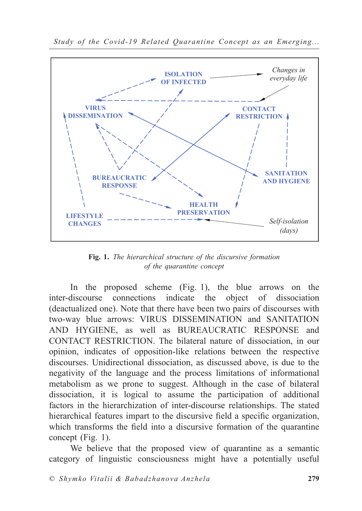

*Study of the Covid-19 Related Quarantine Concept as an Emerging...*

**Fig. 1.** *The hierarchical structure of the discursive formation of the quarantine concept*

In the proposed scheme (Fig. 1), the blue arrows on the inter-discourse connections indicate the object of dissociation (deactualized one). Note that there have been two pairs of discourses with two-way blue arrows: VIRUS DISSEMINATION and SANITATION AND HYGIENE, as well as BUREAUCRATIC RESPONSE and CONTACT RESTRICTION. The bilateral nature of dissociation, in our opinion, indicates of opposition-like relations between the respective discourses. Unidirectional dissociation, as discussed above, is due to the negativity of the language and the process limitations of informational metabolism as we prone to suggest. Although in the case of bilateral dissociation, it is logical to assume the participation of additional factors in the hierarchization of inter-discourse relationships. The stated hierarchical features impart to the discursive field a specific organization, which transforms the field into a discursive formation of the quarantine concept (Fig. 1).

We believe that the proposed view of quarantine as a semantic category of linguistic consciousness might have a potentially useful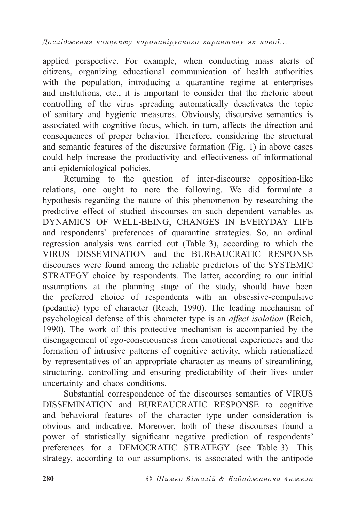*Дослідження концепту коронавірусного карантину як нової...*

applied perspective. For example, when conducting mass alerts of citizens, organizing educational communication of health authorities with the population, introducing a quarantine regime at enterprises and institutions, etc., it is important to consider that the rhetoric about controlling of the virus spreading automatically deactivates the topic of sanitary and hygienic measures. Obviously, discursive semantics is associated with cognitive focus, which, in turn, affects the direction and consequences of proper behavior. Therefore, considering the structural and semantic features of the discursive formation (Fig. 1) in above cases could help increase the productivity and effectiveness of informational anti-epidemiological policies.

Returning to the question of inter-discourse opposition-like relations, one ought to note the following. We did formulate a hypothesis regarding the nature of this phenomenon by researching the predictive effect of studied discourses on such dependent variables as DYNAMICS OF WELL-BEING, CHANGES IN EVERYDAY LIFE and respondents` preferences of quarantine strategies. So, an ordinal regression analysis was carried out (Table 3), according to which the VIRUS DISSEMINATION and the BUREAUCRATIC RESPONSE discourses were found among the reliable predictors of the SYSTEMIC STRATEGY choice by respondents. The latter, according to our initial assumptions at the planning stage of the study, should have been the preferred choice of respondents with an obsessive-compulsive (pedantic) type of character (Reich, 1990). The leading mechanism of psychological defense of this character type is an *affect isolation* (Reich, 1990). The work of this protective mechanism is accompanied by the disengagement of *ego*-consciousness from emotional experiences and the formation of intrusive patterns of cognitive activity, which rationalized by representatives of an appropriate character as means of streamlining, structuring, controlling and ensuring predictability of their lives under uncertainty and chaos conditions.

Substantial correspondence of the discourses semantics of VIRUS DISSEMINATION and BUREAUCRATIC RESPONSE to cognitive and behavioral features of the character type under consideration is obvious and indicative. Moreover, both of these discourses found a power of statistically significant negative prediction of respondents' preferences for a DEMOCRATIC STRATEGY (see Table 3). This strategy, according to our assumptions, is associated with the antipode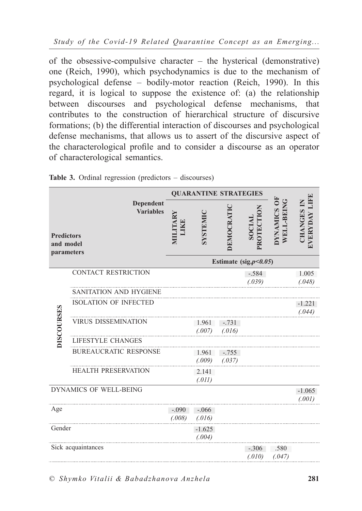of the obsessive-compulsive character – the hysterical (demonstrative) one (Reich, 1990), which psychodynamics is due to the mechanism of psychological defense – bodily-motor reaction (Reich, 1990). In this regard, it is logical to suppose the existence of: (a) the relationship between discourses and psychological defense mechanisms, that contributes to the construction of hierarchical structure of discursive formations; (b) the differential interaction of discourses and psychological defense mechanisms, that allows us to assert of the discursive aspect of the characterological profile and to consider a discourse as an operator of characterological semantics.

|                                                                               |                               | <b>QUARANTINE STRATEGIES</b> |                    |                   |                      |                                                          |                                           |  |  |
|-------------------------------------------------------------------------------|-------------------------------|------------------------------|--------------------|-------------------|----------------------|----------------------------------------------------------|-------------------------------------------|--|--|
| Dependent<br><b>Variables</b><br><b>Predictors</b><br>and model<br>parameters |                               | MILITARY<br>LIKE             | SYSTEMIC           | DEMOCRATIC        | PROTECTION<br>SOCIAL | $\overline{\mathbf{d}}$<br>WELL-BEING<br><b>DYNAMICS</b> | <b>EVERYDAY LIF!</b><br><b>CHANGES IN</b> |  |  |
|                                                                               |                               | Estimate (sig. $p<0.05$ )    |                    |                   |                      |                                                          |                                           |  |  |
|                                                                               | <b>CONTACT RESTRICTION</b>    |                              |                    |                   | $-.584$<br>(.039)    |                                                          | 1.005<br>(.048)                           |  |  |
|                                                                               | <b>SANITATION AND HYGIENE</b> |                              |                    |                   |                      |                                                          |                                           |  |  |
|                                                                               | <b>ISOLATION OF INFECTED</b>  |                              |                    |                   |                      |                                                          | $-1.221$<br>(.044)                        |  |  |
| <b>DISCOURSES</b>                                                             | <b>VIRUS DISSEMINATION</b>    |                              | 1.961<br>(.007)    | $-.731$<br>(.016) |                      |                                                          |                                           |  |  |
|                                                                               | <b>LIFESTYLE CHANGES</b>      |                              |                    |                   |                      |                                                          |                                           |  |  |
|                                                                               | <b>BUREAUCRATIC RESPONSE</b>  |                              | 1.961<br>(.009)    | $-.755$<br>(.037) |                      |                                                          |                                           |  |  |
|                                                                               | <b>HEALTH PRESERVATION</b>    |                              | 2.141<br>(.011)    |                   |                      |                                                          |                                           |  |  |
| DYNAMICS OF WELL-BEING                                                        |                               |                              |                    |                   |                      |                                                          | $-1.065$<br>(.001)                        |  |  |
| Age                                                                           |                               | $-.090$<br>(.008)            | $-.066$<br>(.016)  |                   |                      |                                                          |                                           |  |  |
| Gender                                                                        |                               |                              | $-1.625$<br>(.004) |                   |                      |                                                          |                                           |  |  |
|                                                                               | Sick acquaintances            |                              |                    |                   | $-.306$<br>(.010)    | .580<br>(.047)                                           |                                           |  |  |

**Table 3.** Ordinal regression (predictors – discourses)

*© Shymko Vitalii & Babadzhanova Anzhela* **281**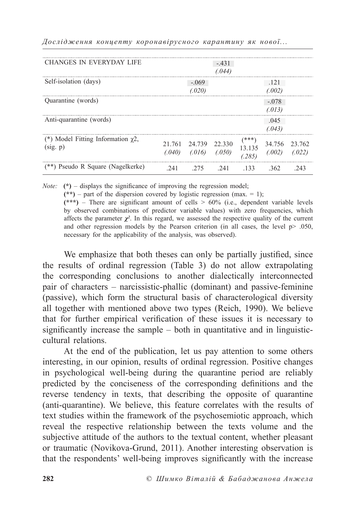| <b>CHANGES IN EVERYDAY LIFE</b>         |        |         | $-.431$ |         |         |        |
|-----------------------------------------|--------|---------|---------|---------|---------|--------|
|                                         |        |         | (.044)  |         |         |        |
| Self-isolation (days)                   |        | $-.069$ |         |         | .121    |        |
|                                         |        | (.020)  |         |         | (.002)  |        |
| Quarantine (words)                      |        |         |         |         | $-.078$ |        |
|                                         |        |         |         |         | (.013)  |        |
| Anti-quarantine (words)                 |        |         |         |         | .045    |        |
|                                         |        |         |         |         | (.043)  |        |
| (*) Model Fitting Information $\chi$ 2, | 21.761 | 24.739  | 22.330  | $(***)$ | 34.756  | 23.762 |
| (sig. p)                                |        |         |         | 13.135  |         |        |
|                                         | (.040) | (.016)  | (.050)  | (.285)  | (.002)  | (.022) |
| (**) Pseudo R Square (Nagelkerke)       | 241    | 2.75    | .241    | -133    | 362     | 243    |

*Дослідження концепту коронавірусного карантину як нової...*

*Note:*  $(*)$  – displays the significance of improving the regression model:

 $(**)$  – part of the dispersion covered by logistic regression (max. = 1);

 $(***)$  – There are significant amount of cells  $> 60\%$  (i.e., dependent variable levels by observed combinations of predictor variable values) with zero frequencies, which affects the parameter  $\chi^2$ . In this regard, we assessed the respective quality of the current and other regression models by the Pearson criterion (in all cases, the level  $p$   $> 0.050$ , necessary for the applicability of the analysis, was observed).

We emphasize that both theses can only be partially justified, since the results of ordinal regression (Table 3) do not allow extrapolating the corresponding conclusions to another dialectically interconnected pair of characters – narcissistic-phallic (dominant) and passive-feminine (passive), which form the structural basis of characterological diversity all together with mentioned above two types (Reich, 1990). We believe that for further empirical verification of these issues it is necessary to significantly increase the sample  $-$  both in quantitative and in linguisticcultural relations.

At the end of the publication, let us pay attention to some others interesting, in our opinion, results of ordinal regression. Positive changes in psychological well-being during the quarantine period are reliably predicted by the conciseness of the corresponding definitions and the reverse tendency in texts, that describing the opposite of quarantine (anti-quarantine). We believe, this feature correlates with the results of text studies within the framework of the psychosemiotic approach, which reveal the respective relationship between the texts volume and the subjective attitude of the authors to the textual content, whether pleasant or traumatic (Novikova-Grund, 2011). Another interesting observation is that the respondents' well-being improves significantly with the increase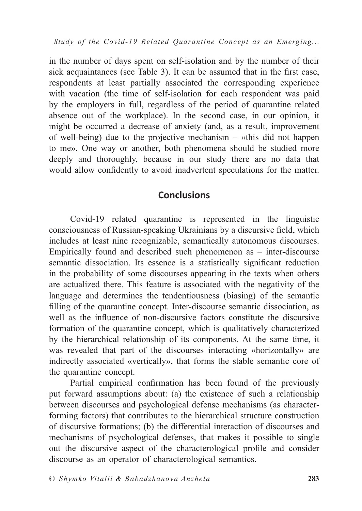*Study of the Covid-19 Related Quarantine Concept as an Emerging...*

in the number of days spent on self-isolation and by the number of their sick acquaintances (see Table 3). It can be assumed that in the first case, respondents at least partially associated the corresponding experience with vacation (the time of self-isolation for each respondent was paid by the employers in full, regardless of the period of quarantine related absence out of the workplace). In the second case, in our opinion, it might be occurred a decrease of anxiety (and, as a result, improvement of well-being) due to the projective mechanism – «this did not happen to me». One way or another, both phenomena should be studied more deeply and thoroughly, because in our study there are no data that would allow confidently to avoid inadvertent speculations for the matter.

### **Conclusions**

Covid-19 related quarantine is represented in the linguistic consciousness of Russian-speaking Ukrainians by a discursive field, which includes at least nine recognizable, semantically autonomous discourses. Empirically found and described such phenomenon as – inter-discourse semantic dissociation. Its essence is a statistically significant reduction in the probability of some discourses appearing in the texts when others are actualized there. This feature is associated with the negativity of the language and determines the tendentiousness (biasing) of the semantic filling of the quarantine concept. Inter-discourse semantic dissociation, as well as the influence of non-discursive factors constitute the discursive formation of the quarantine concept, which is qualitatively characterized by the hierarchical relationship of its components. At the same time, it was revealed that part of the discourses interacting «horizontally» are indirectly associated «vertically», that forms the stable semantic core of the quarantine concept.

Partial empirical confirmation has been found of the previously put forward assumptions about: (a) the existence of such a relationship between discourses and psychological defense mechanisms (as characterforming factors) that contributes to the hierarchical structure construction of discursive formations; (b) the differential interaction of discourses and mechanisms of psychological defenses, that makes it possible to single out the discursive aspect of the characterological profile and consider discourse as an operator of characterological semantics.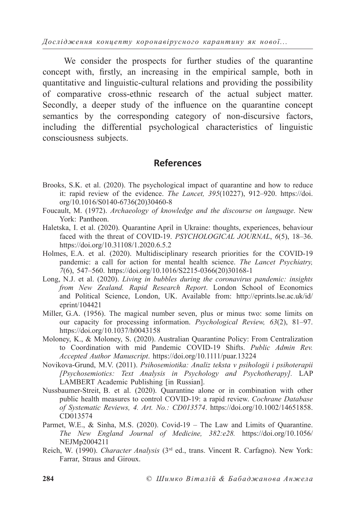*Дослідження концепту коронавірусного карантину як нової...*

We consider the prospects for further studies of the quarantine concept with, firstly, an increasing in the empirical sample, both in quantitative and linguistic-cultural relations and providing the possibility of comparative cross-ethnic research of the actual subject matter. Secondly, a deeper study of the influence on the quarantine concept semantics by the corresponding category of non-discursive factors, including the differential psychological characteristics of linguistic consciousness subjects.

### **References**

- Brooks, S.K. et al. (2020). The psychological impact of quarantine and how to reduce it: rapid review of the evidence. *The Lancet, 395*(10227), 912–920. https://doi. org/10.1016/S0140-6736(20)30460-8
- Foucault, M. (1972). *Archaeology of knowledge and the discourse on language*. New York: Pantheon.
- Haletska, I. et al. (2020). Quarantine April in Ukraine: thoughts, experiences, behaviour faced with the threat of COVID-19. *PSYCHOLOGICAL JOURNAL*, *6*(5), 18–36. https://doi.org/10.31108/1.2020.6.5.2
- Holmes, E.A. et al. (2020). Multidisciplinary research priorities for the COVID-19 pandemic: a call for action for mental health science. *The Lancet Psychiatry, 7*(6), 547–560. https://doi.org/10.1016/S2215-0366(20)30168-1
- Long, N.J. et al. (2020). *Living in bubbles during the coronavirus pandemic: insights from New Zealand. Rapid Research Report*. London School of Economics and Political Science, London, UK. Available from: http://eprints.lse.ac.uk/id/ eprint/104421
- Miller, G.A. (1956). The magical number seven, plus or minus two: some limits on our capacity for processing information. *Psychological Review, 63*(2), 81–97. https://doi.org/10.1037/h0043158
- Moloney, K., & Moloney, S. (2020). Australian Quarantine Policy: From Centralization to Coordination with mid Pandemic COVID-19 Shifts. *Public Admin Rev. Accepted Author Manuscript*. https://doi.org/10.1111/puar.13224
- Novikova-Grund, M.V. (2011). *Psihosemiotika: Analiz teksta v psihologii i psihoterapii [Psychosemiotics: Text Analysis in Psychology and Psychotherapy].* LAP LAMBERT Academic Publishing [in Russian].
- Nussbaumer-Streit, B. et al. (2020). Quarantine alone or in combination with other public health measures to control COVID-19: a rapid review. *Cochrane Database of Systematic Reviews, 4. Art. No.: CD013574*. https://doi.org/10.1002/14651858. CD013574
- Parmet, W.E., & Sinha, M.S. (2020). Covid-19 The Law and Limits of Quarantine. *The New England Journal of Medicine, 382:e28.* https://doi.org/10.1056/ NEJMp2004211
- Reich, W. (1990). *Character Analysis* (3rd ed., trans. Vincent R. Carfagno). New York: Farrar, Straus and Giroux.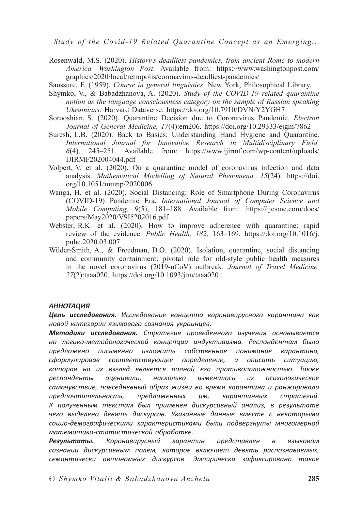*Study of the Covid-19 Related Quarantine Concept as an Emerging...*

- Rosenwald, M.S. (2020). *History's deadliest pandemics, from ancient Rome to modern America. Washington Post*. Available from: https://www.washingtonpost.com/ graphics/2020/local/retropolis/coronavirus-deadliest-pandemics/
- Saussure, F. (1959). *Course in general linguistics*. New York, Philosophical Library.
- Shymko, V., & Babadzhanova, A. (2020). *Study of the COVID-19 related quarantine notion as the language consciousness category on the sample of Russian speaking Ukrainians.* Harvard Dataverse. https://doi.org/10.7910/DVN/Y2YGH7
- Sorooshian, S. (2020). Quarantine Decision due to Coronavirus Pandemic. *Electron Journal of General Medicine, 17*(4):em206. https://doi.org/10.29333/ejgm/7862
- Suresh, L.B. (2020). Back to Basics: Understanding Hand Hygiene and Quarantine. *International Journal for Innovative Research in Multidisciplinary Field, 6*(4), 245–251. Available from: https://www.ijirmf.com/wp-content/uploads/ IJIRMF202004044.pdf
- Volpert, V. et al. (2020). On a quarantine model of coronavirus infection and data analysis. *Mathematical Modelling of Natural Phenomena, 15*(24). https://doi. org/10.1051/mmnp/2020006
- Wanga, H. et al. (2020). Social Distancing: Role of Smartphone During Coronavirus (COVID-19) Pandemic Era. *International Journal of Computer Science and Mobile Computing, 9*(5), 181–188. Available from: https://ijcsmc.com/docs/ papers/May2020/V9I5202016.pdf
- Webster, R.K. et al. (2020). How to improve adherence with quarantine: rapid review of the evidence. *Public Health, 182,* 163–169. https://doi.org/10.1016/j. puhe.2020.03.007
- Wilder-Smith, A., & Freedman, D.O. (2020). Isolation, quarantine, social distancing and community containment: pivotal role for old-style public health measures in the novel coronavirus (2019-nCoV) outbreak*. Journal of Travel Medicine, 27*(2):taaa020. https://doi.org/10.1093/jtm/taaa020

#### *АННОТАЦИЯ*

*Цель исследования. Исследование концепта коронавирусного карантина как новой категории языкового сознания украинцев.*

*Методики исследования. Стратегия проведенного изучения основывается на логико-методологической концепции индуктивизма. Респондентам было предложено письменно изложить собственное понимание карантина, сформулировав соответствующее определение, и описать ситуацию, которая на их взгляд является полной его противоположностью. Также респонденты оценивали, насколько изменилось их психологическое самочувствие, повседневный образ жизни во время карантина и ранжировали предпочтительность, предложенных им, карантинных стратегий. К полученным текстам был применен дискурсивный анализ, в результате чего выделено девять дискурсов. Указанные данные вместе с некоторыми социо-демографическими характеристиками были подвергнуты многомерной математико-статистической обработке.*

*Результаты. Коронавирусный карантин представлен в языковом сознании дискурсивным полем, которое включает девять распознаваемых, семантически автономных дискурсов. Эмпирически зафиксировано такое*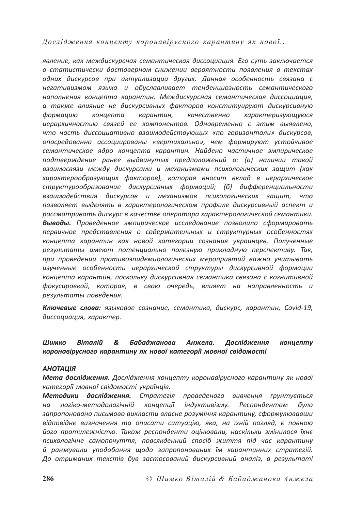*Дослідження концепту коронавірусного карантину як нової...*

*явление, как междискурсная семантическая диссоциация. Его суть заключается в статистически достоверном снижении вероятности появления в текстах одних дискурсов при актуализации других. Данная особенность связана с негативизмом языка и обуславливает тенденциозность семантического наполнения концепта карантин. Междискурсная семантическая диссоциация, а также влияние не дискурсивных факторов конституируют дискурсивную формацию концепта карантин, качественно характеризующуюся иерархичностью связей ее компонентов. Одновременно с этим выявлено, что часть диссоциативно взаимодействующих «по горизонтали» дискурсов, опосредованно ассоциированы «вертикально», чем формируют устойчивое семантическое ядро концепта карантин. Найдено частичное эмпирическое подтверждение ранее выдвинутых предположений о: (а) наличии такой взаимосвязи между дискурсами и механизмами психологических защит (как характерообразующих факторов), которая вносит вклад в иерархическое структурообразование дискурсивных формаций; (б) дифференциальности взаимодействия дискурсов и механизмов психологических защит, что позволяет выделять в характерологическом профиле дискурсивный аспект и рассматривать дискурс в качестве оператора характерологической семантики. Выводы. Проведенное эмпирическое исследование позволило сформировать первичное представления о содержательных и структурных особенностях концепта карантин как новой категории сознания украинцев. Полученные результаты имеют потенциально полезную прикладную перспективу. Так, при проведении противоэпидемиологических мероприятий важно учитывать изученные особенности иерархической структуры дискурсивной формации концепта карантин, поскольку дискурсивная семантика связана с когнитивной фокусировкой, которая, в свою очередь, влияет на направленность и результаты поведения.*

*Ключевые слова: языковое сознание, семантика, дискурс, карантин, Covid-19, диссоциация, характер.*

#### *Шимко Віталій & Бабаджанова Анжела. Дослідження концепту коронавірусного карантину як нової категорії мовної свідомості*

#### *АНОТАЦІЯ*

*Мета дослідження. Дослідження концепту коронавірусного карантину як нової категорії мовної свідомості українців.*

*Методики дослідження. Стратегія проведеного вивчення ґрунтується на логіко-методологічній концепції індуктивізму. Респондентам було запропоновано письмово викласти власне розуміння карантину, сформулювавши відповідне визначення та описати ситуацію, яка, на їхній погляд, є повною його протилежністю. Також респонденти оцінювали, наскільки змінилося їхнє психологічне самопочуття, повсякденний спосіб життя під час карантину й ранжували уподобання щодо запропонованих їм карантинних стратегій. До отриманих текстів був застосований дискурсивний аналіз, в результаті*